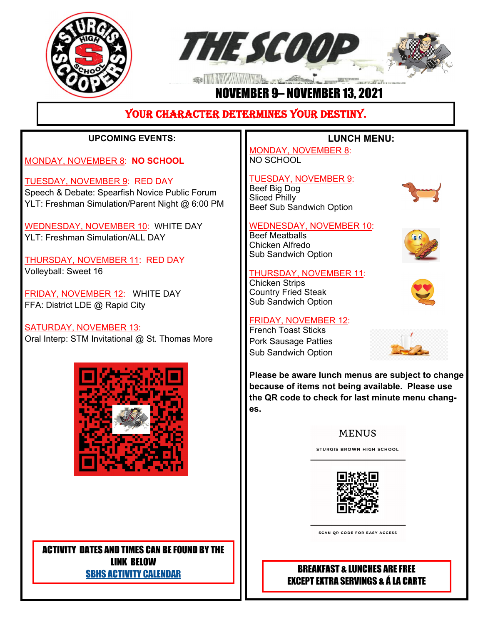



# NOVEMBER 9– NOVEMBER 13, 2021

# YOUR CHARACTER DETERMINES YOUR DESTINY.

## **UPCOMING EVENTS:**

MONDAY, NOVEMBER 8: **NO SCHOOL**

TUESDAY, NOVEMBER 9: RED DAY Speech & Debate: Spearfish Novice Public Forum YLT: Freshman Simulation/Parent Night @ 6:00 PM

WEDNESDAY, NOVEMBER 10: WHITE DAY YLT: Freshman Simulation/ALL DAY

THURSDAY, NOVEMBER 11: RED DAY Volleyball: Sweet 16

FRIDAY, NOVEMBER 12: WHITE DAY FFA: District LDE @ Rapid City

SATURDAY, NOVEMBER 13: Oral Interp: STM Invitational @ St. Thomas More



ACTIVITY DATES AND TIMES CAN BE FOUND BY THE LINK BELOW SBHS ACTIVITY CALENDAR

## **LUNCH MENU:**

MONDAY, NOVEMBER 8: NO SCHOOL

#### TUESDAY, NOVEMBER 9:

Beef Big Dog Sliced Philly Beef Sub Sandwich Option

#### WEDNESDAY, NOVEMBER 10:

Beef Meatballs Chicken Alfredo Sub Sandwich Option

#### THURSDAY, NOVEMBER 11:

Chicken Strips Country Fried Steak Sub Sandwich Option

#### FRIDAY, NOVEMBER 12:

French Toast Sticks Pork Sausage Patties Sub Sandwich Option









**Please be aware lunch menus are subject to change because of items not being available. Please use the QR code to check for last minute menu changes.**

#### **MENUS**

**STURGIS BROWN HIGH SCHOOL** 



**SCAN OR CODE FOR EASY ACCESS** 

# BREAKFAST & LUNCHES ARE FREE EXCEPT EXTRA SERVINGS & Á LA CARTE